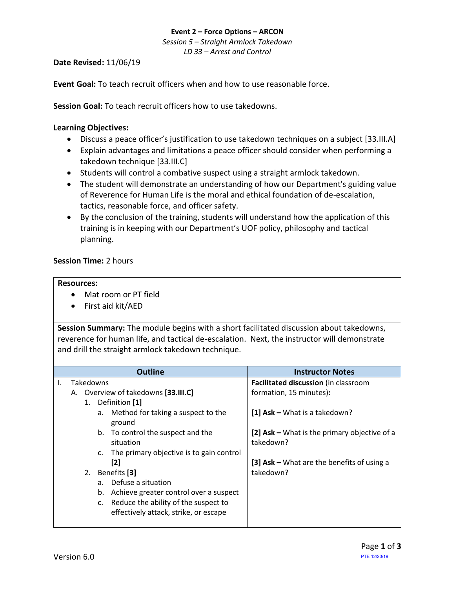## **Event 2 – Force Options – ARCON** *Session 5 – Straight Armlock Takedown LD 33 – Arrest and Control*

## **Date Revised:** 11/06/19

**Event Goal:** To teach recruit officers when and how to use reasonable force.

**Session Goal:** To teach recruit officers how to use takedowns.

## <span id="page-0-1"></span>**Learning Objectives:**

- Discuss a peace officer's justification to use [takedown techniques on a subject](#page-1-0) [33.III.A]
- [Explain advantages and limitations a peace officer should consider when performing a](#page-0-0)  [takedown technique](#page-0-0) [33.III.C]
- Students will control a combative suspect using a straight armlock takedown.
- The student will demonstrate an understanding of how our Department's guiding value of Reverence for Human Life is the moral and ethical foundation of de-escalation, tactics, reasonable force, and officer safety.
- By the conclusion of the training, students will understand how the application of this training is in keeping with our Department's UOF policy, philosophy and tactical planning.

### **Session Time:** 2 hours

#### **Resources:**

- Mat room or PT field
- First aid kit/AED

**Session Summary:** The module begins with a short facilitated discussion about takedowns, reverence for human life, and tactical de-escalation. Next, the instructor will demonstrate and drill the straight armlock takedown technique.

<span id="page-0-0"></span>

| <b>Outline</b> |     |                                     |                   |                                                                               | <b>Instructor Notes</b>                                   |
|----------------|-----|-------------------------------------|-------------------|-------------------------------------------------------------------------------|-----------------------------------------------------------|
| Ι.             |     |                                     | Takedowns         |                                                                               | Facilitated discussion (in classroom                      |
|                |     | A. Overview of takedowns [33.III.C] |                   |                                                                               | formation, 15 minutes):                                   |
|                |     |                                     | 1. Definition [1] |                                                                               |                                                           |
|                |     |                                     | а.                | Method for taking a suspect to the<br>ground                                  | [1] $Ask - What is a take down?$                          |
|                |     |                                     | b.                | To control the suspect and the<br>situation                                   | [2] Ask – What is the primary objective of a<br>takedown? |
|                |     |                                     | c.                | The primary objective is to gain control                                      |                                                           |
|                | [2] |                                     |                   | [3] $Ask - What are the benefits of using a$                                  |                                                           |
|                |     |                                     | 2. Benefits [3]   |                                                                               | takedown?                                                 |
|                |     |                                     |                   | a. Defuse a situation                                                         |                                                           |
|                |     |                                     | b.                | Achieve greater control over a suspect                                        |                                                           |
|                |     |                                     | C.                | Reduce the ability of the suspect to<br>effectively attack, strike, or escape |                                                           |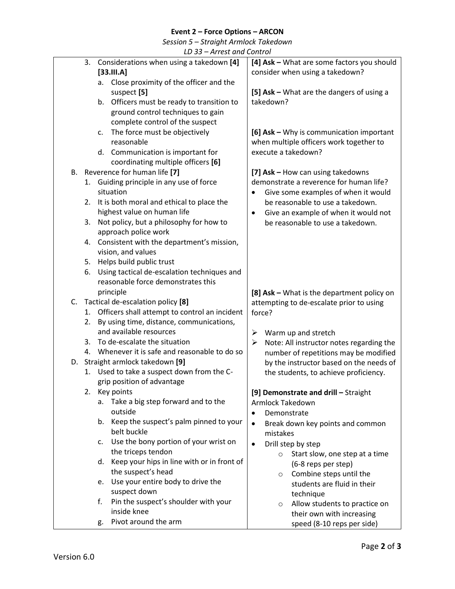# **Event 2 – Force Options – ARCON**

*Session 5 – Straight Armlock Takedown*

| LD 33 – Arrest and Control |  |
|----------------------------|--|
|----------------------------|--|

<span id="page-1-0"></span>

| LD 33 – Arrest and Control                          |                                               |  |
|-----------------------------------------------------|-----------------------------------------------|--|
| 3.<br>Considerations when using a takedown [4]      | [4] Ask - What are some factors you should    |  |
| [33.111.A]                                          | consider when using a takedown?               |  |
| Close proximity of the officer and the<br>а.        |                                               |  |
| suspect [5]                                         | [5] Ask - What are the dangers of using a     |  |
|                                                     |                                               |  |
| b. Officers must be ready to transition to          | takedown?                                     |  |
| ground control techniques to gain                   |                                               |  |
| complete control of the suspect                     |                                               |  |
| The force must be objectively<br>c.                 | [6] Ask - Why is communication important      |  |
| reasonable                                          | when multiple officers work together to       |  |
| d. Communication is important for                   | execute a takedown?                           |  |
| coordinating multiple officers [6]                  |                                               |  |
|                                                     |                                               |  |
| B. Reverence for human life [7]                     | [7] Ask - How can using takedowns             |  |
| 1. Guiding principle in any use of force            | demonstrate a reverence for human life?       |  |
| situation                                           | Give some examples of when it would           |  |
| It is both moral and ethical to place the<br>2.     | be reasonable to use a takedown.              |  |
| highest value on human life                         | Give an example of when it would not          |  |
| Not policy, but a philosophy for how to<br>3.       | be reasonable to use a takedown.              |  |
| approach police work                                |                                               |  |
| Consistent with the department's mission,           |                                               |  |
| 4.                                                  |                                               |  |
| vision, and values                                  |                                               |  |
| 5. Helps build public trust                         |                                               |  |
| Using tactical de-escalation techniques and<br>6.   |                                               |  |
| reasonable force demonstrates this                  |                                               |  |
| principle                                           | [8] Ask - What is the department policy on    |  |
| C. Tactical de-escalation policy [8]                | attempting to de-escalate prior to using      |  |
| Officers shall attempt to control an incident<br>1. | force?                                        |  |
| By using time, distance, communications,<br>2.      |                                               |  |
| and available resources                             |                                               |  |
|                                                     | Warm up and stretch<br>➤                      |  |
| 3. To de-escalate the situation                     | Note: All instructor notes regarding the<br>➤ |  |
| Whenever it is safe and reasonable to do so<br>4.   | number of repetitions may be modified         |  |
| D. Straight armlock takedown [9]                    | by the instructor based on the needs of       |  |
| 1. Used to take a suspect down from the C-          | the students, to achieve proficiency.         |  |
| grip position of advantage                          |                                               |  |
| 2.<br>Key points                                    | [9] Demonstrate and drill - Straight          |  |
| Take a big step forward and to the<br>a.            | <b>Armlock Takedown</b>                       |  |
| outside                                             |                                               |  |
| Keep the suspect's palm pinned to your              | Demonstrate<br>$\bullet$                      |  |
| b.                                                  | Break down key points and common<br>$\bullet$ |  |
| belt buckle                                         | mistakes                                      |  |
| Use the bony portion of your wrist on<br>c.         | Drill step by step<br>$\bullet$               |  |
| the triceps tendon                                  | Start slow, one step at a time                |  |
| Keep your hips in line with or in front of<br>d.    | (6-8 reps per step)                           |  |
| the suspect's head                                  | Combine steps until the<br>$\circ$            |  |
| Use your entire body to drive the<br>e.             | students are fluid in their                   |  |
| suspect down                                        | technique                                     |  |
| f.<br>Pin the suspect's shoulder with your          | Allow students to practice on                 |  |
| inside knee                                         | $\circ$                                       |  |
| Pivot around the arm                                | their own with increasing                     |  |
| g.                                                  | speed (8-10 reps per side)                    |  |